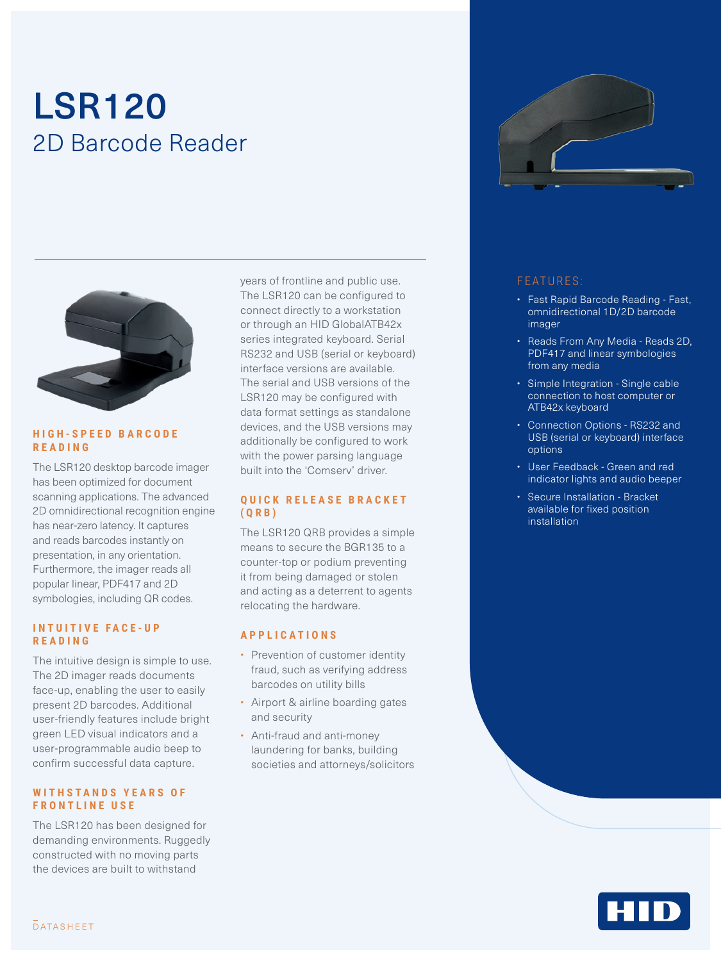# LSR120 2D Barcode Reader



#### **H I G H - S P E E D B A R C O D E READING**

The LSR120 desktop barcode imager has been optimized for document scanning applications. The advanced 2D omnidirectional recognition engine has near-zero latency. It captures and reads barcodes instantly on presentation, in any orientation. Furthermore, the imager reads all popular linear, PDF417 and 2D symbologies, including QR codes.

#### **INTUITIVE FACE-UP READING**

The intuitive design is simple to use. The 2D imager reads documents face-up, enabling the user to easily present 2D barcodes. Additional user-friendly features include bright green LED visual indicators and a user-programmable audio beep to confirm successful data capture.

#### WITHSTANDS YEARS OF **FRONTLINE USE**

The LSR120 has been designed for demanding environments. Ruggedly constructed with no moving parts the devices are built to withstand

years of frontline and public use. The LSR120 can be configured to connect directly to a workstation or through an HID GlobalATB42x series integrated keyboard. Serial RS232 and USB (serial or keyboard) interface versions are available. The serial and USB versions of the LSR120 may be configured with data format settings as standalone devices, and the USB versions may additionally be configured to work with the power parsing language built into the 'Comserv' driver.

#### **Q U I C K R E L E A S E B R A C K E T (QRB)**

The LSR120 QRB provides a simple means to secure the BGR135 to a counter-top or podium preventing it from being damaged or stolen and acting as a deterrent to agents relocating the hardware.

#### **APPLICATIONS**

- Prevention of customer identity fraud, such as verifying address barcodes on utility bills
- Airport & airline boarding gates and security
- Anti-fraud and anti-money laundering for banks, building societies and attorneys/solicitors



#### FEATURES:

- Fast Rapid Barcode Reading Fast, omnidirectional 1D/2D barcode imager
- Reads From Any Media Reads 2D, PDF417 and linear symbologies from any media
- Simple Integration Single cable connection to host computer or ATB42x keyboard
- Connection Options RS232 and USB (serial or keyboard) interface options
- User Feedback Green and red indicator lights and audio beeper
- Secure Installation Bracket available for fixed position installation